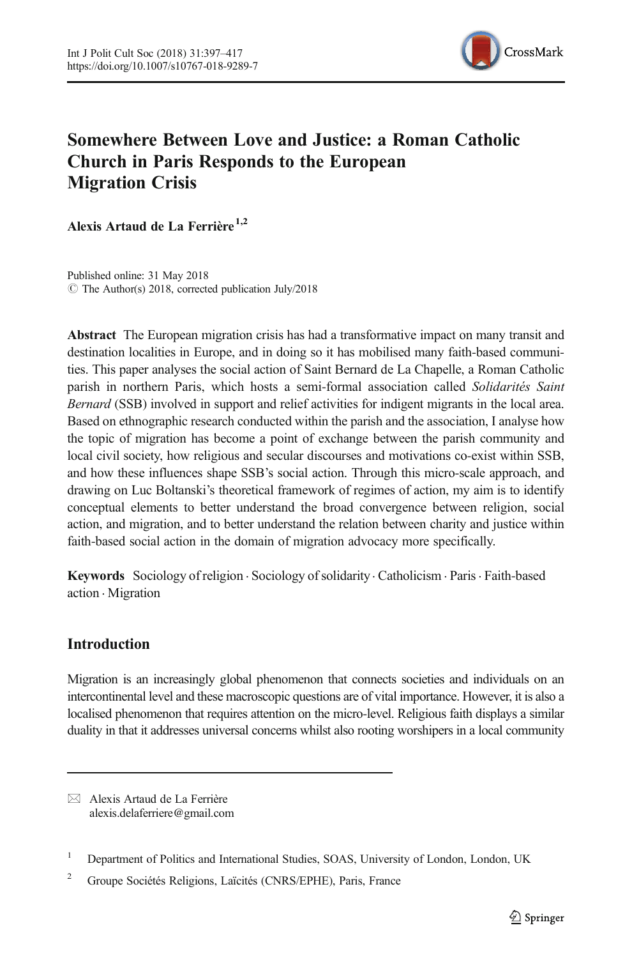

# Somewhere Between Love and Justice: a Roman Catholic Church in Paris Responds to the European Migration Crisis

Alexis Artaud de La Ferrière<sup>1,2</sup>

Published online: 31 May 2018  $\odot$  The Author(s) 2018, corrected publication July/2018

Abstract The European migration crisis has had a transformative impact on many transit and destination localities in Europe, and in doing so it has mobilised many faith-based communities. This paper analyses the social action of Saint Bernard de La Chapelle, a Roman Catholic parish in northern Paris, which hosts a semi-formal association called Solidarités Saint Bernard (SSB) involved in support and relief activities for indigent migrants in the local area. Based on ethnographic research conducted within the parish and the association, I analyse how the topic of migration has become a point of exchange between the parish community and local civil society, how religious and secular discourses and motivations co-exist within SSB, and how these influences shape SSB's social action. Through this micro-scale approach, and drawing on Luc Boltanski's theoretical framework of regimes of action, my aim is to identify conceptual elements to better understand the broad convergence between religion, social action, and migration, and to better understand the relation between charity and justice within faith-based social action in the domain of migration advocacy more specifically.

Keywords Sociology of religion . Sociology of solidarity. Catholicism . Paris. Faith-based action . Migration

# **Introduction**

Migration is an increasingly global phenomenon that connects societies and individuals on an intercontinental level and these macroscopic questions are of vital importance. However, it is also a localised phenomenon that requires attention on the micro-level. Religious faith displays a similar duality in that it addresses universal concerns whilst also rooting worshipers in a local community

 $\boxtimes$  Alexis Artaud de La Ferrière [alexis.delaferriere@gmail.com](mailto:alexis.delaferriere@gmail.com)

<sup>&</sup>lt;sup>1</sup> Department of Politics and International Studies, SOAS, University of London, London, UK

<sup>2</sup> Groupe Sociétés Religions, Laïcités (CNRS/EPHE), Paris, France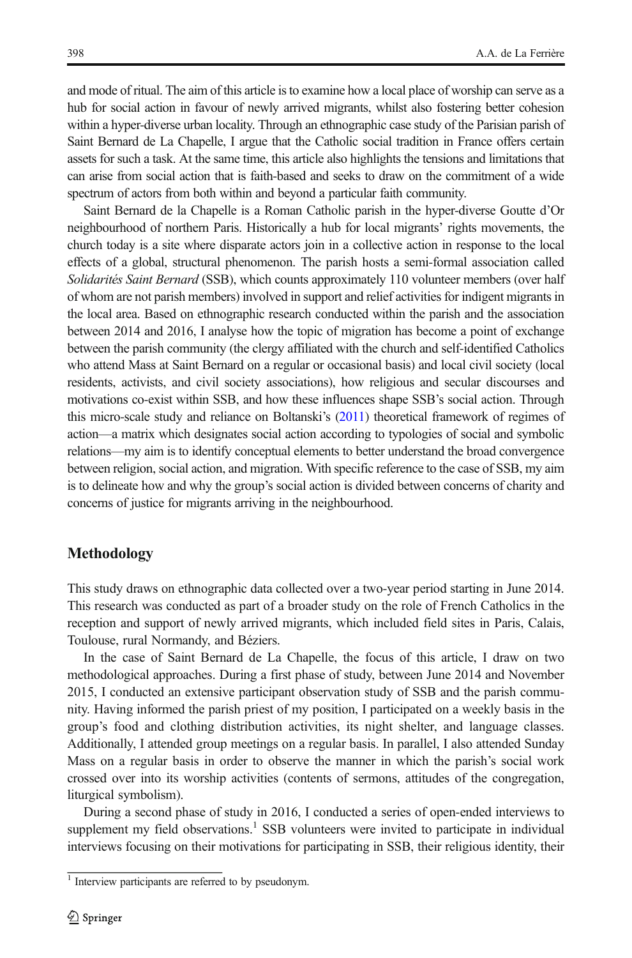and mode of ritual. The aim of this article is to examine how a local place of worship can serve as a hub for social action in favour of newly arrived migrants, whilst also fostering better cohesion within a hyper-diverse urban locality. Through an ethnographic case study of the Parisian parish of Saint Bernard de La Chapelle, I argue that the Catholic social tradition in France offers certain assets for such a task. At the same time, this article also highlights the tensions and limitations that can arise from social action that is faith-based and seeks to draw on the commitment of a wide spectrum of actors from both within and beyond a particular faith community.

Saint Bernard de la Chapelle is a Roman Catholic parish in the hyper-diverse Goutte d'Or neighbourhood of northern Paris. Historically a hub for local migrants' rights movements, the church today is a site where disparate actors join in a collective action in response to the local effects of a global, structural phenomenon. The parish hosts a semi-formal association called Solidarités Saint Bernard (SSB), which counts approximately 110 volunteer members (over half of whom are not parish members) involved in support and relief activities for indigent migrants in the local area. Based on ethnographic research conducted within the parish and the association between 2014 and 2016, I analyse how the topic of migration has become a point of exchange between the parish community (the clergy affiliated with the church and self-identified Catholics who attend Mass at Saint Bernard on a regular or occasional basis) and local civil society (local residents, activists, and civil society associations), how religious and secular discourses and motivations co-exist within SSB, and how these influences shape SSB's social action. Through this micro-scale study and reliance on Boltanski's [\(2011\)](#page-19-0) theoretical framework of regimes of action—a matrix which designates social action according to typologies of social and symbolic relations—my aim is to identify conceptual elements to better understand the broad convergence between religion, social action, and migration. With specific reference to the case of SSB, my aim is to delineate how and why the group's social action is divided between concerns of charity and concerns of justice for migrants arriving in the neighbourhood.

## Methodology

This study draws on ethnographic data collected over a two-year period starting in June 2014. This research was conducted as part of a broader study on the role of French Catholics in the reception and support of newly arrived migrants, which included field sites in Paris, Calais, Toulouse, rural Normandy, and Béziers.

In the case of Saint Bernard de La Chapelle, the focus of this article, I draw on two methodological approaches. During a first phase of study, between June 2014 and November 2015, I conducted an extensive participant observation study of SSB and the parish community. Having informed the parish priest of my position, I participated on a weekly basis in the group's food and clothing distribution activities, its night shelter, and language classes. Additionally, I attended group meetings on a regular basis. In parallel, I also attended Sunday Mass on a regular basis in order to observe the manner in which the parish's social work crossed over into its worship activities (contents of sermons, attitudes of the congregation, liturgical symbolism).

During a second phase of study in 2016, I conducted a series of open-ended interviews to supplement my field observations.<sup>1</sup> SSB volunteers were invited to participate in individual interviews focusing on their motivations for participating in SSB, their religious identity, their

<sup>&</sup>lt;sup>1</sup> Interview participants are referred to by pseudonym.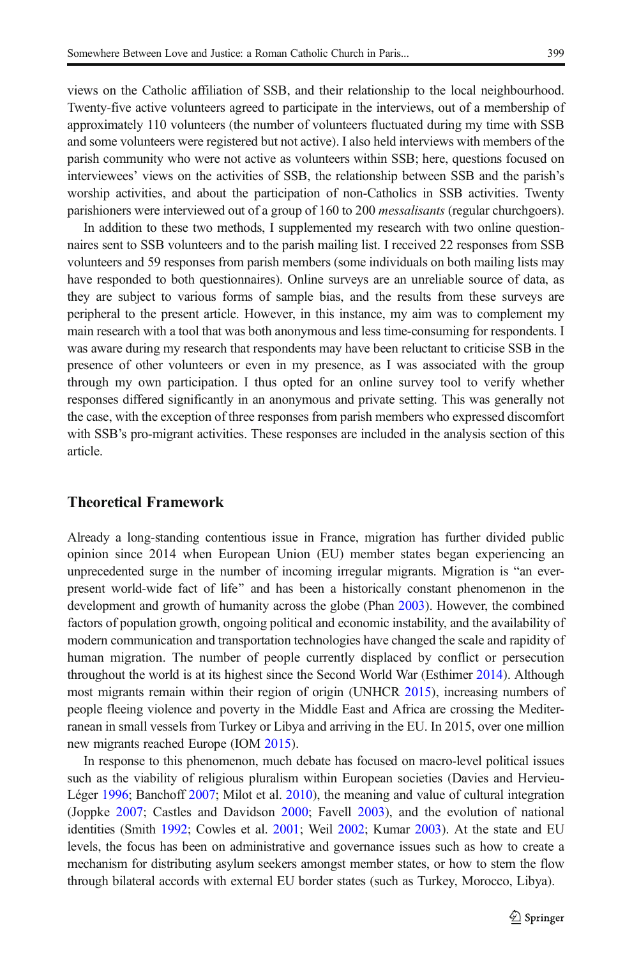views on the Catholic affiliation of SSB, and their relationship to the local neighbourhood. Twenty-five active volunteers agreed to participate in the interviews, out of a membership of approximately 110 volunteers (the number of volunteers fluctuated during my time with SSB and some volunteers were registered but not active). I also held interviews with members of the parish community who were not active as volunteers within SSB; here, questions focused on interviewees' views on the activities of SSB, the relationship between SSB and the parish's worship activities, and about the participation of non-Catholics in SSB activities. Twenty parishioners were interviewed out of a group of 160 to 200 messalisants (regular churchgoers).

In addition to these two methods, I supplemented my research with two online questionnaires sent to SSB volunteers and to the parish mailing list. I received 22 responses from SSB volunteers and 59 responses from parish members (some individuals on both mailing lists may have responded to both questionnaires). Online surveys are an unreliable source of data, as they are subject to various forms of sample bias, and the results from these surveys are peripheral to the present article. However, in this instance, my aim was to complement my main research with a tool that was both anonymous and less time-consuming for respondents. I was aware during my research that respondents may have been reluctant to criticise SSB in the presence of other volunteers or even in my presence, as I was associated with the group through my own participation. I thus opted for an online survey tool to verify whether responses differed significantly in an anonymous and private setting. This was generally not the case, with the exception of three responses from parish members who expressed discomfort with SSB's pro-migrant activities. These responses are included in the analysis section of this article.

## Theoretical Framework

Already a long-standing contentious issue in France, migration has further divided public opinion since 2014 when European Union (EU) member states began experiencing an unprecedented surge in the number of incoming irregular migrants. Migration is "an everpresent world-wide fact of life^ and has been a historically constant phenomenon in the development and growth of humanity across the globe (Phan [2003\)](#page-20-0). However, the combined factors of population growth, ongoing political and economic instability, and the availability of modern communication and transportation technologies have changed the scale and rapidity of human migration. The number of people currently displaced by conflict or persecution throughout the world is at its highest since the Second World War (Esthimer [2014\)](#page-19-0). Although most migrants remain within their region of origin (UNHCR [2015](#page-20-0)), increasing numbers of people fleeing violence and poverty in the Middle East and Africa are crossing the Mediterranean in small vessels from Turkey or Libya and arriving in the EU. In 2015, over one million new migrants reached Europe (IOM [2015\)](#page-20-0).

In response to this phenomenon, much debate has focused on macro-level political issues such as the viability of religious pluralism within European societies (Davies and Hervieu-Léger [1996](#page-19-0); Banchoff [2007;](#page-19-0) Milot et al. [2010](#page-20-0)), the meaning and value of cultural integration (Joppke [2007](#page-20-0); Castles and Davidson [2000](#page-19-0); Favell [2003\)](#page-19-0), and the evolution of national identities (Smith [1992](#page-20-0); Cowles et al. [2001](#page-19-0); Weil [2002;](#page-20-0) Kumar [2003](#page-20-0)). At the state and EU levels, the focus has been on administrative and governance issues such as how to create a mechanism for distributing asylum seekers amongst member states, or how to stem the flow through bilateral accords with external EU border states (such as Turkey, Morocco, Libya).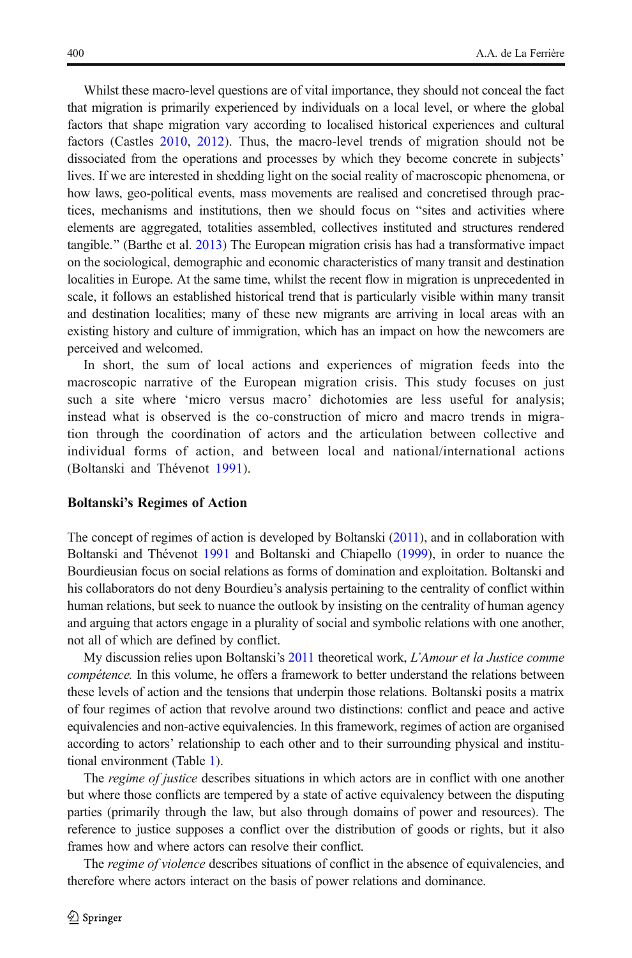Whilst these macro-level questions are of vital importance, they should not conceal the fact that migration is primarily experienced by individuals on a local level, or where the global factors that shape migration vary according to localised historical experiences and cultural factors (Castles [2010](#page-19-0), [2012](#page-19-0)). Thus, the macro-level trends of migration should not be dissociated from the operations and processes by which they become concrete in subjects' lives. If we are interested in shedding light on the social reality of macroscopic phenomena, or how laws, geo-political events, mass movements are realised and concretised through practices, mechanisms and institutions, then we should focus on "sites and activities where elements are aggregated, totalities assembled, collectives instituted and structures rendered tangible.^ (Barthe et al. [2013\)](#page-19-0) The European migration crisis has had a transformative impact on the sociological, demographic and economic characteristics of many transit and destination localities in Europe. At the same time, whilst the recent flow in migration is unprecedented in scale, it follows an established historical trend that is particularly visible within many transit and destination localities; many of these new migrants are arriving in local areas with an existing history and culture of immigration, which has an impact on how the newcomers are perceived and welcomed.

In short, the sum of local actions and experiences of migration feeds into the macroscopic narrative of the European migration crisis. This study focuses on just such a site where 'micro versus macro' dichotomies are less useful for analysis; instead what is observed is the co-construction of micro and macro trends in migration through the coordination of actors and the articulation between collective and individual forms of action, and between local and national/international actions (Boltanski and Thévenot [1991](#page-19-0)).

#### Boltanski's Regimes of Action

The concept of regimes of action is developed by Boltanski ([2011\)](#page-19-0), and in collaboration with Boltanski and Thévenot [1991](#page-19-0) and Boltanski and Chiapello [\(1999\)](#page-19-0), in order to nuance the Bourdieusian focus on social relations as forms of domination and exploitation. Boltanski and his collaborators do not deny Bourdieu's analysis pertaining to the centrality of conflict within human relations, but seek to nuance the outlook by insisting on the centrality of human agency and arguing that actors engage in a plurality of social and symbolic relations with one another, not all of which are defined by conflict.

My discussion relies upon Boltanski's [2011](#page-19-0) theoretical work, L'Amour et la Justice comme compétence. In this volume, he offers a framework to better understand the relations between these levels of action and the tensions that underpin those relations. Boltanski posits a matrix of four regimes of action that revolve around two distinctions: conflict and peace and active equivalencies and non-active equivalencies. In this framework, regimes of action are organised according to actors' relationship to each other and to their surrounding physical and institutional environment (Table [1](#page-6-0)).

The regime of justice describes situations in which actors are in conflict with one another but where those conflicts are tempered by a state of active equivalency between the disputing parties (primarily through the law, but also through domains of power and resources). The reference to justice supposes a conflict over the distribution of goods or rights, but it also frames how and where actors can resolve their conflict.

The *regime of violence* describes situations of conflict in the absence of equivalencies, and therefore where actors interact on the basis of power relations and dominance.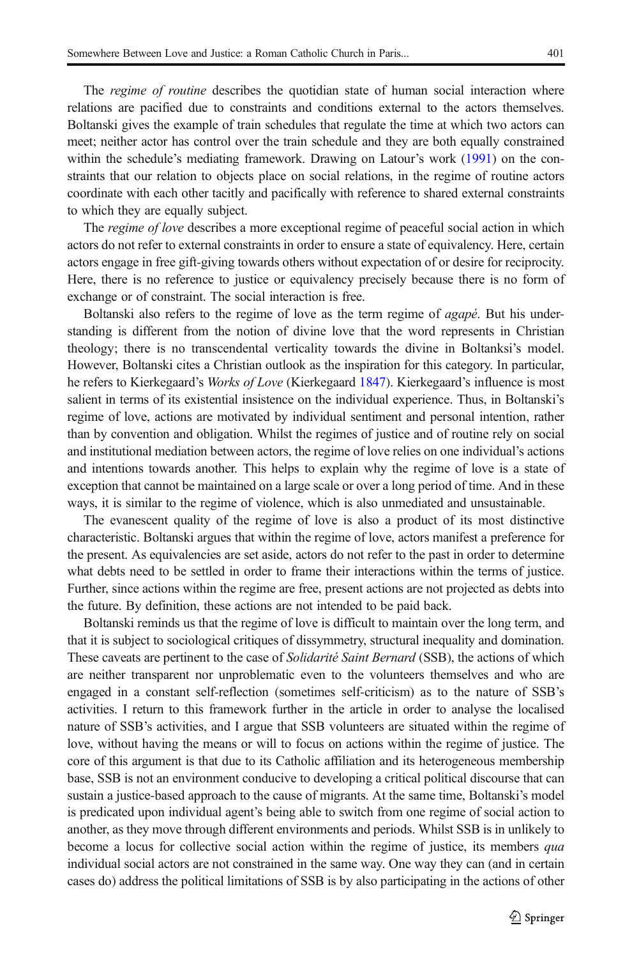The *regime of routine* describes the quotidian state of human social interaction where relations are pacified due to constraints and conditions external to the actors themselves. Boltanski gives the example of train schedules that regulate the time at which two actors can meet; neither actor has control over the train schedule and they are both equally constrained within the schedule's mediating framework. Drawing on Latour's work ([1991](#page-20-0)) on the constraints that our relation to objects place on social relations, in the regime of routine actors coordinate with each other tacitly and pacifically with reference to shared external constraints to which they are equally subject.

The *regime of love* describes a more exceptional regime of peaceful social action in which actors do not refer to external constraints in order to ensure a state of equivalency. Here, certain actors engage in free gift-giving towards others without expectation of or desire for reciprocity. Here, there is no reference to justice or equivalency precisely because there is no form of exchange or of constraint. The social interaction is free.

Boltanski also refers to the regime of love as the term regime of *agapé*. But his understanding is different from the notion of divine love that the word represents in Christian theology; there is no transcendental verticality towards the divine in Boltanksi's model. However, Boltanski cites a Christian outlook as the inspiration for this category. In particular, he refers to Kierkegaard's Works of Love (Kierkegaard [1847](#page-20-0)). Kierkegaard's influence is most salient in terms of its existential insistence on the individual experience. Thus, in Boltanski's regime of love, actions are motivated by individual sentiment and personal intention, rather than by convention and obligation. Whilst the regimes of justice and of routine rely on social and institutional mediation between actors, the regime of love relies on one individual's actions and intentions towards another. This helps to explain why the regime of love is a state of exception that cannot be maintained on a large scale or over a long period of time. And in these ways, it is similar to the regime of violence, which is also unmediated and unsustainable.

The evanescent quality of the regime of love is also a product of its most distinctive characteristic. Boltanski argues that within the regime of love, actors manifest a preference for the present. As equivalencies are set aside, actors do not refer to the past in order to determine what debts need to be settled in order to frame their interactions within the terms of justice. Further, since actions within the regime are free, present actions are not projected as debts into the future. By definition, these actions are not intended to be paid back.

Boltanski reminds us that the regime of love is difficult to maintain over the long term, and that it is subject to sociological critiques of dissymmetry, structural inequality and domination. These caveats are pertinent to the case of *Solidarité Saint Bernard* (SSB), the actions of which are neither transparent nor unproblematic even to the volunteers themselves and who are engaged in a constant self-reflection (sometimes self-criticism) as to the nature of SSB's activities. I return to this framework further in the article in order to analyse the localised nature of SSB's activities, and I argue that SSB volunteers are situated within the regime of love, without having the means or will to focus on actions within the regime of justice. The core of this argument is that due to its Catholic affiliation and its heterogeneous membership base, SSB is not an environment conducive to developing a critical political discourse that can sustain a justice-based approach to the cause of migrants. At the same time, Boltanski's model is predicated upon individual agent's being able to switch from one regime of social action to another, as they move through different environments and periods. Whilst SSB is in unlikely to become a locus for collective social action within the regime of justice, its members qua individual social actors are not constrained in the same way. One way they can (and in certain cases do) address the political limitations of SSB is by also participating in the actions of other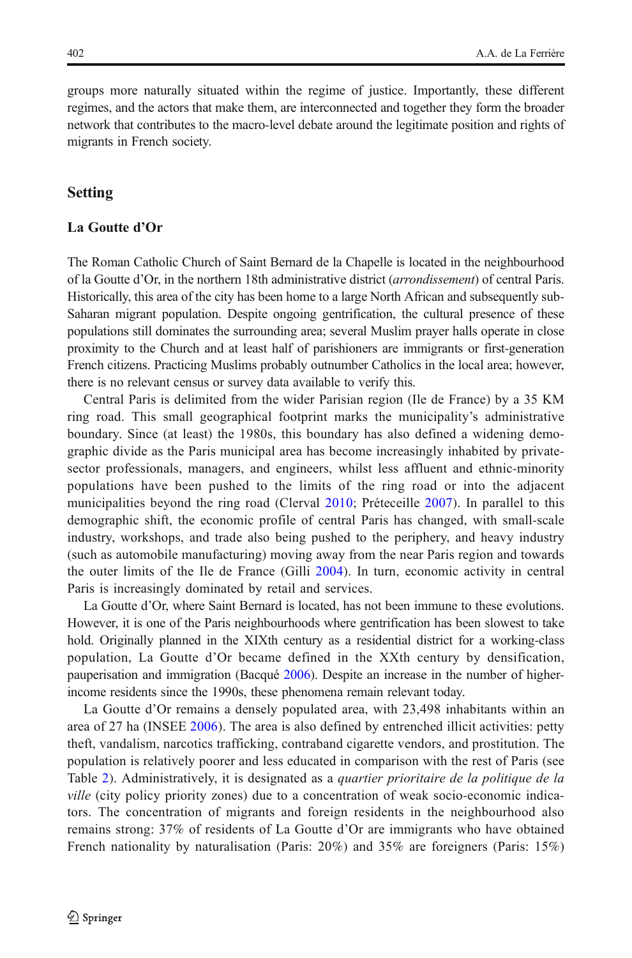groups more naturally situated within the regime of justice. Importantly, these different regimes, and the actors that make them, are interconnected and together they form the broader network that contributes to the macro-level debate around the legitimate position and rights of migrants in French society.

# Setting

# La Goutte d'Or

The Roman Catholic Church of Saint Bernard de la Chapelle is located in the neighbourhood of la Goutte d'Or, in the northern 18th administrative district (arrondissement) of central Paris. Historically, this area of the city has been home to a large North African and subsequently sub-Saharan migrant population. Despite ongoing gentrification, the cultural presence of these populations still dominates the surrounding area; several Muslim prayer halls operate in close proximity to the Church and at least half of parishioners are immigrants or first-generation French citizens. Practicing Muslims probably outnumber Catholics in the local area; however, there is no relevant census or survey data available to verify this.

Central Paris is delimited from the wider Parisian region (Ile de France) by a 35 KM ring road. This small geographical footprint marks the municipality's administrative boundary. Since (at least) the 1980s, this boundary has also defined a widening demographic divide as the Paris municipal area has become increasingly inhabited by privatesector professionals, managers, and engineers, whilst less affluent and ethnic-minority populations have been pushed to the limits of the ring road or into the adjacent municipalities beyond the ring road (Clerval [2010;](#page-19-0) Préteceille [2007\)](#page-20-0). In parallel to this demographic shift, the economic profile of central Paris has changed, with small-scale industry, workshops, and trade also being pushed to the periphery, and heavy industry (such as automobile manufacturing) moving away from the near Paris region and towards the outer limits of the Ile de France (Gilli [2004\)](#page-19-0). In turn, economic activity in central Paris is increasingly dominated by retail and services.

La Goutte d'Or, where Saint Bernard is located, has not been immune to these evolutions. However, it is one of the Paris neighbourhoods where gentrification has been slowest to take hold. Originally planned in the XIXth century as a residential district for a working-class population, La Goutte d'Or became defined in the XXth century by densification, pauperisation and immigration (Bacqué [2006\)](#page-19-0). Despite an increase in the number of higherincome residents since the 1990s, these phenomena remain relevant today.

La Goutte d'Or remains a densely populated area, with 23,498 inhabitants within an area of 27 ha (INSEE [2006\)](#page-19-0). The area is also defined by entrenched illicit activities: petty theft, vandalism, narcotics trafficking, contraband cigarette vendors, and prostitution. The population is relatively poorer and less educated in comparison with the rest of Paris (see Table [2\)](#page-7-0). Administratively, it is designated as a *quartier prioritaire de la politique de la* ville (city policy priority zones) due to a concentration of weak socio-economic indicators. The concentration of migrants and foreign residents in the neighbourhood also remains strong: 37% of residents of La Goutte d'Or are immigrants who have obtained French nationality by naturalisation (Paris: 20%) and 35% are foreigners (Paris: 15%)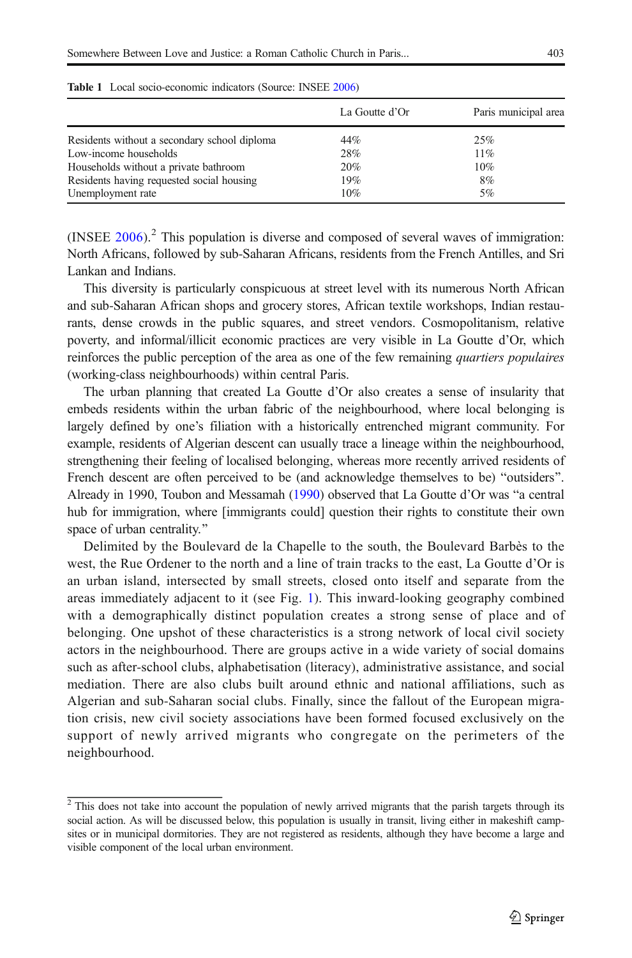|                                              | La Goutte d'Or | Paris municipal area |
|----------------------------------------------|----------------|----------------------|
| Residents without a secondary school diploma | 44%            | 25%                  |
| Low-income households                        | 28%            | 11%                  |
| Households without a private bathroom        | 20%            | 10%                  |
| Residents having requested social housing    | 19%            | 8%                   |
| Unemployment rate                            | 10%            | 5%                   |

<span id="page-6-0"></span>Table 1 Local socio-economic indicators (Source: INSEE [2006](#page-19-0))

(INSEE  $2006$ ).<sup>2</sup> This population is diverse and composed of several waves of immigration: North Africans, followed by sub-Saharan Africans, residents from the French Antilles, and Sri Lankan and Indians.

This diversity is particularly conspicuous at street level with its numerous North African and sub-Saharan African shops and grocery stores, African textile workshops, Indian restaurants, dense crowds in the public squares, and street vendors. Cosmopolitanism, relative poverty, and informal/illicit economic practices are very visible in La Goutte d'Or, which reinforces the public perception of the area as one of the few remaining *quartiers populaires* (working-class neighbourhoods) within central Paris.

The urban planning that created La Goutte d'Or also creates a sense of insularity that embeds residents within the urban fabric of the neighbourhood, where local belonging is largely defined by one's filiation with a historically entrenched migrant community. For example, residents of Algerian descent can usually trace a lineage within the neighbourhood, strengthening their feeling of localised belonging, whereas more recently arrived residents of French descent are often perceived to be (and acknowledge themselves to be) "outsiders". Already in 1990, Toubon and Messamah [\(1990](#page-20-0)) observed that La Goutte d'Or was "a central hub for immigration, where [immigrants could] question their rights to constitute their own space of urban centrality."

Delimited by the Boulevard de la Chapelle to the south, the Boulevard Barbès to the west, the Rue Ordener to the north and a line of train tracks to the east, La Goutte d'Or is an urban island, intersected by small streets, closed onto itself and separate from the areas immediately adjacent to it (see Fig. [1\)](#page-7-0). This inward-looking geography combined with a demographically distinct population creates a strong sense of place and of belonging. One upshot of these characteristics is a strong network of local civil society actors in the neighbourhood. There are groups active in a wide variety of social domains such as after-school clubs, alphabetisation (literacy), administrative assistance, and social mediation. There are also clubs built around ethnic and national affiliations, such as Algerian and sub-Saharan social clubs. Finally, since the fallout of the European migration crisis, new civil society associations have been formed focused exclusively on the support of newly arrived migrants who congregate on the perimeters of the neighbourhood.

<sup>&</sup>lt;sup>2</sup> This does not take into account the population of newly arrived migrants that the parish targets through its social action. As will be discussed below, this population is usually in transit, living either in makeshift campsites or in municipal dormitories. They are not registered as residents, although they have become a large and visible component of the local urban environment.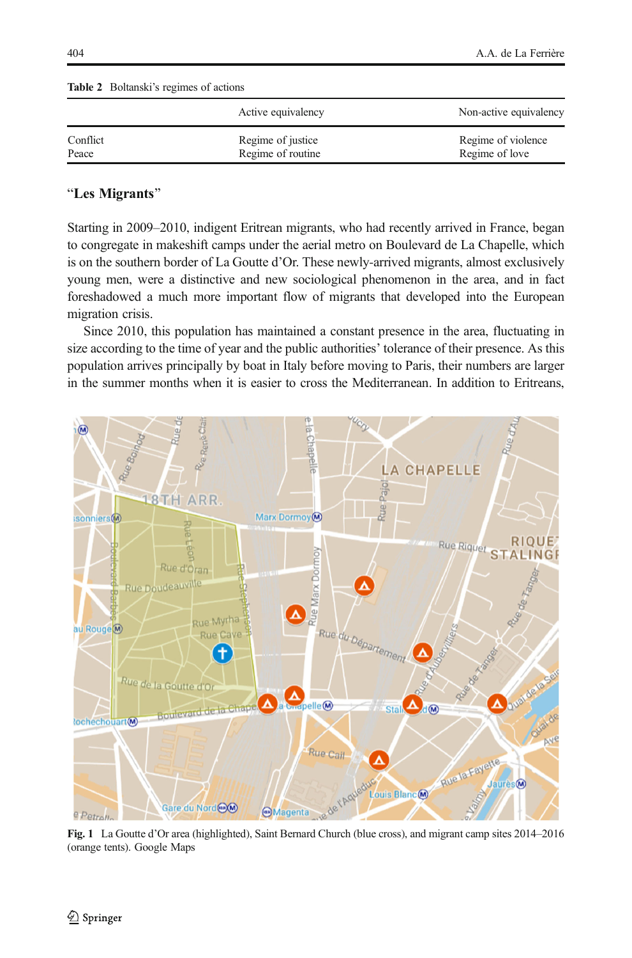<span id="page-7-0"></span>

|          | Active equivalency | Non-active equivalency |
|----------|--------------------|------------------------|
| Conflict | Regime of justice  | Regime of violence     |
| Peace    | Regime of routine  | Regime of love         |

### "Les Migrants"

Starting in 2009–2010, indigent Eritrean migrants, who had recently arrived in France, began to congregate in makeshift camps under the aerial metro on Boulevard de La Chapelle, which is on the southern border of La Goutte d'Or. These newly-arrived migrants, almost exclusively young men, were a distinctive and new sociological phenomenon in the area, and in fact foreshadowed a much more important flow of migrants that developed into the European migration crisis.

Since 2010, this population has maintained a constant presence in the area, fluctuating in size according to the time of year and the public authorities' tolerance of their presence. As this population arrives principally by boat in Italy before moving to Paris, their numbers are larger in the summer months when it is easier to cross the Mediterranean. In addition to Eritreans,



Fig. 1 La Goutte d'Or area (highlighted), Saint Bernard Church (blue cross), and migrant camp sites 2014–2016 (orange tents). Google Maps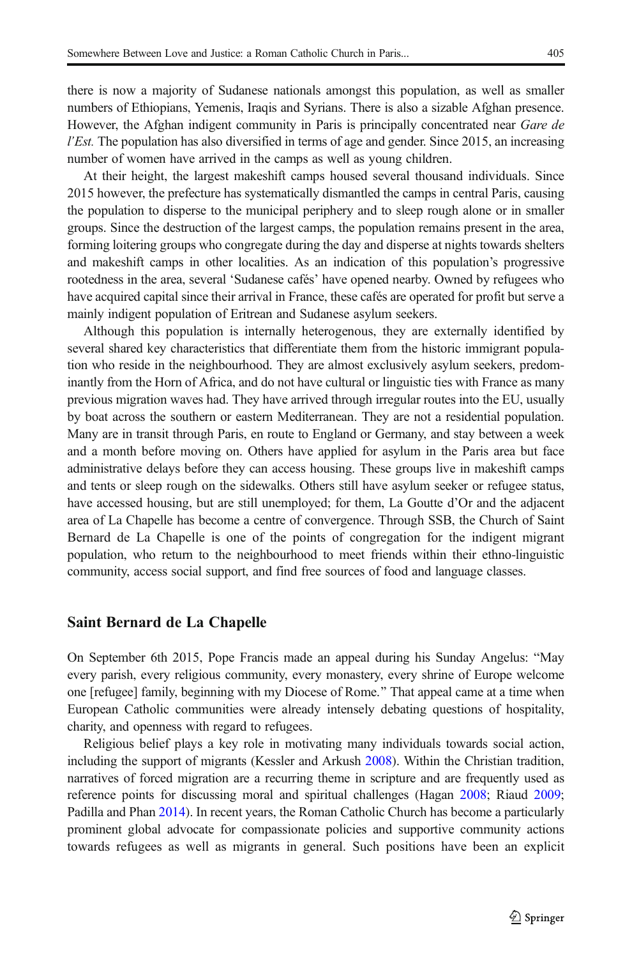there is now a majority of Sudanese nationals amongst this population, as well as smaller numbers of Ethiopians, Yemenis, Iraqis and Syrians. There is also a sizable Afghan presence. However, the Afghan indigent community in Paris is principally concentrated near Gare de *l'Est.* The population has also diversified in terms of age and gender. Since 2015, an increasing number of women have arrived in the camps as well as young children.

At their height, the largest makeshift camps housed several thousand individuals. Since 2015 however, the prefecture has systematically dismantled the camps in central Paris, causing the population to disperse to the municipal periphery and to sleep rough alone or in smaller groups. Since the destruction of the largest camps, the population remains present in the area, forming loitering groups who congregate during the day and disperse at nights towards shelters and makeshift camps in other localities. As an indication of this population's progressive rootedness in the area, several 'Sudanese cafés' have opened nearby. Owned by refugees who have acquired capital since their arrival in France, these cafés are operated for profit but serve a mainly indigent population of Eritrean and Sudanese asylum seekers.

Although this population is internally heterogenous, they are externally identified by several shared key characteristics that differentiate them from the historic immigrant population who reside in the neighbourhood. They are almost exclusively asylum seekers, predominantly from the Horn of Africa, and do not have cultural or linguistic ties with France as many previous migration waves had. They have arrived through irregular routes into the EU, usually by boat across the southern or eastern Mediterranean. They are not a residential population. Many are in transit through Paris, en route to England or Germany, and stay between a week and a month before moving on. Others have applied for asylum in the Paris area but face administrative delays before they can access housing. These groups live in makeshift camps and tents or sleep rough on the sidewalks. Others still have asylum seeker or refugee status, have accessed housing, but are still unemployed; for them, La Goutte d'Or and the adjacent area of La Chapelle has become a centre of convergence. Through SSB, the Church of Saint Bernard de La Chapelle is one of the points of congregation for the indigent migrant population, who return to the neighbourhood to meet friends within their ethno-linguistic community, access social support, and find free sources of food and language classes.

#### Saint Bernard de La Chapelle

On September 6th 2015, Pope Francis made an appeal during his Sunday Angelus: "May every parish, every religious community, every monastery, every shrine of Europe welcome one [refugee] family, beginning with my Diocese of Rome.^ That appeal came at a time when European Catholic communities were already intensely debating questions of hospitality, charity, and openness with regard to refugees.

Religious belief plays a key role in motivating many individuals towards social action, including the support of migrants (Kessler and Arkush [2008\)](#page-20-0). Within the Christian tradition, narratives of forced migration are a recurring theme in scripture and are frequently used as reference points for discussing moral and spiritual challenges (Hagan [2008](#page-19-0); Riaud [2009](#page-20-0); Padilla and Phan [2014\)](#page-20-0). In recent years, the Roman Catholic Church has become a particularly prominent global advocate for compassionate policies and supportive community actions towards refugees as well as migrants in general. Such positions have been an explicit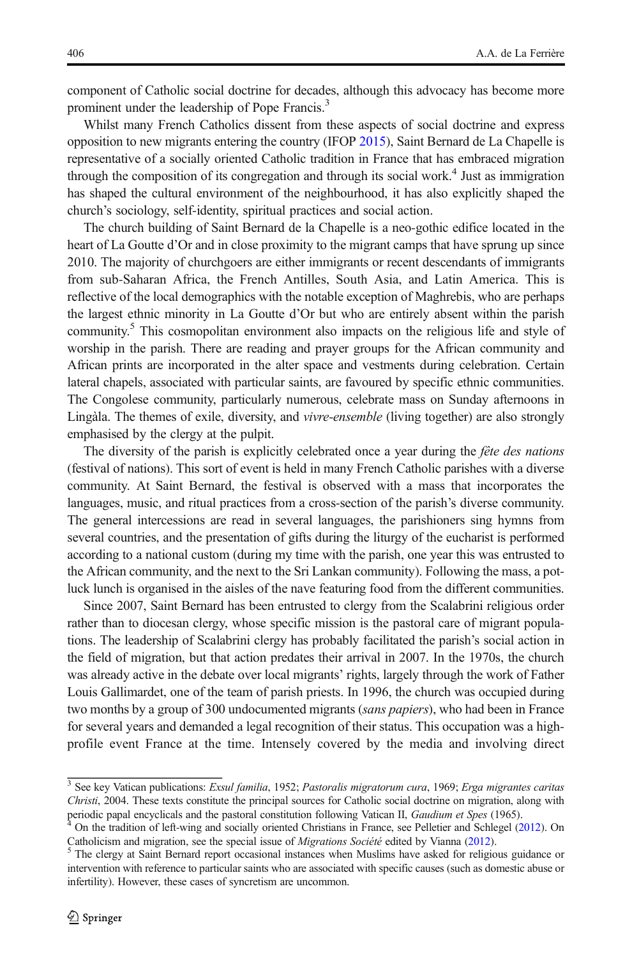component of Catholic social doctrine for decades, although this advocacy has become more prominent under the leadership of Pope Francis.<sup>3</sup>

Whilst many French Catholics dissent from these aspects of social doctrine and express opposition to new migrants entering the country (IFOP [2015](#page-19-0)), Saint Bernard de La Chapelle is representative of a socially oriented Catholic tradition in France that has embraced migration through the composition of its congregation and through its social work.<sup>4</sup> Just as immigration has shaped the cultural environment of the neighbourhood, it has also explicitly shaped the church's sociology, self-identity, spiritual practices and social action.

The church building of Saint Bernard de la Chapelle is a neo-gothic edifice located in the heart of La Goutte d'Or and in close proximity to the migrant camps that have sprung up since 2010. The majority of churchgoers are either immigrants or recent descendants of immigrants from sub-Saharan Africa, the French Antilles, South Asia, and Latin America. This is reflective of the local demographics with the notable exception of Maghrebis, who are perhaps the largest ethnic minority in La Goutte d'Or but who are entirely absent within the parish community.<sup>5</sup> This cosmopolitan environment also impacts on the religious life and style of worship in the parish. There are reading and prayer groups for the African community and African prints are incorporated in the alter space and vestments during celebration. Certain lateral chapels, associated with particular saints, are favoured by specific ethnic communities. The Congolese community, particularly numerous, celebrate mass on Sunday afternoons in Lingàla. The themes of exile, diversity, and *vivre-ensemble* (living together) are also strongly emphasised by the clergy at the pulpit.

The diversity of the parish is explicitly celebrated once a year during the *fête des nations* (festival of nations). This sort of event is held in many French Catholic parishes with a diverse community. At Saint Bernard, the festival is observed with a mass that incorporates the languages, music, and ritual practices from a cross-section of the parish's diverse community. The general intercessions are read in several languages, the parishioners sing hymns from several countries, and the presentation of gifts during the liturgy of the eucharist is performed according to a national custom (during my time with the parish, one year this was entrusted to the African community, and the next to the Sri Lankan community). Following the mass, a potluck lunch is organised in the aisles of the nave featuring food from the different communities.

Since 2007, Saint Bernard has been entrusted to clergy from the Scalabrini religious order rather than to diocesan clergy, whose specific mission is the pastoral care of migrant populations. The leadership of Scalabrini clergy has probably facilitated the parish's social action in the field of migration, but that action predates their arrival in 2007. In the 1970s, the church was already active in the debate over local migrants' rights, largely through the work of Father Louis Gallimardet, one of the team of parish priests. In 1996, the church was occupied during two months by a group of 300 undocumented migrants (sans papiers), who had been in France for several years and demanded a legal recognition of their status. This occupation was a highprofile event France at the time. Intensely covered by the media and involving direct

<sup>&</sup>lt;sup>3</sup> See key Vatican publications: Exsul familia, 1952; Pastoralis migratorum cura, 1969; Erga migrantes caritas Christi, 2004. These texts constitute the principal sources for Catholic social doctrine on migration, along with periodic papal encyclicals and the pastoral constitution following Vatican II, Gaudium et Spes (1965).

On the tradition of left-wing and socially oriented Christians in France, see Pelletier and Schlegel ([2012](#page-20-0)). On Catholicism and migration, see the special issue of *Migrations Société* edited by Vianna ([2012](#page-20-0)). <sup>5</sup> The clergy at Saint Bernard report occasional instances when Muslims have asked for religious guidance or

intervention with reference to particular saints who are associated with specific causes (such as domestic abuse or infertility). However, these cases of syncretism are uncommon.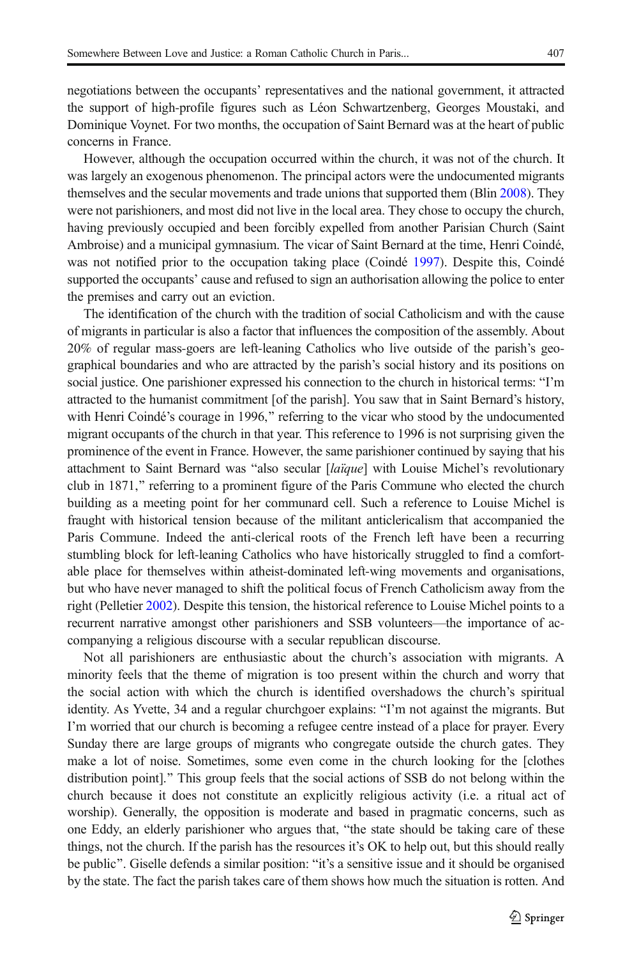negotiations between the occupants' representatives and the national government, it attracted the support of high-profile figures such as Léon Schwartzenberg, Georges Moustaki, and Dominique Voynet. For two months, the occupation of Saint Bernard was at the heart of public concerns in France.

However, although the occupation occurred within the church, it was not of the church. It was largely an exogenous phenomenon. The principal actors were the undocumented migrants themselves and the secular movements and trade unions that supported them (Blin [2008](#page-19-0)). They were not parishioners, and most did not live in the local area. They chose to occupy the church, having previously occupied and been forcibly expelled from another Parisian Church (Saint Ambroise) and a municipal gymnasium. The vicar of Saint Bernard at the time, Henri Coindé, was not notified prior to the occupation taking place (Coindé [1997\)](#page-19-0). Despite this, Coindé supported the occupants' cause and refused to sign an authorisation allowing the police to enter the premises and carry out an eviction.

The identification of the church with the tradition of social Catholicism and with the cause of migrants in particular is also a factor that influences the composition of the assembly. About 20% of regular mass-goers are left-leaning Catholics who live outside of the parish's geographical boundaries and who are attracted by the parish's social history and its positions on social justice. One parishioner expressed his connection to the church in historical terms: "I'm attracted to the humanist commitment [of the parish]. You saw that in Saint Bernard's history, with Henri Coindé's courage in 1996," referring to the vicar who stood by the undocumented migrant occupants of the church in that year. This reference to 1996 is not surprising given the prominence of the event in France. However, the same parishioner continued by saying that his attachment to Saint Bernard was "also secular [laïque] with Louise Michel's revolutionary club in 1871," referring to a prominent figure of the Paris Commune who elected the church building as a meeting point for her communard cell. Such a reference to Louise Michel is fraught with historical tension because of the militant anticlericalism that accompanied the Paris Commune. Indeed the anti-clerical roots of the French left have been a recurring stumbling block for left-leaning Catholics who have historically struggled to find a comfortable place for themselves within atheist-dominated left-wing movements and organisations, but who have never managed to shift the political focus of French Catholicism away from the right (Pelletier [2002](#page-20-0)). Despite this tension, the historical reference to Louise Michel points to a recurrent narrative amongst other parishioners and SSB volunteers—the importance of accompanying a religious discourse with a secular republican discourse.

Not all parishioners are enthusiastic about the church's association with migrants. A minority feels that the theme of migration is too present within the church and worry that the social action with which the church is identified overshadows the church's spiritual identity. As Yvette, 34 and a regular churchgoer explains: "I'm not against the migrants. But I'm worried that our church is becoming a refugee centre instead of a place for prayer. Every Sunday there are large groups of migrants who congregate outside the church gates. They make a lot of noise. Sometimes, some even come in the church looking for the [clothes distribution point]." This group feels that the social actions of SSB do not belong within the church because it does not constitute an explicitly religious activity (i.e. a ritual act of worship). Generally, the opposition is moderate and based in pragmatic concerns, such as one Eddy, an elderly parishioner who argues that, "the state should be taking care of these things, not the church. If the parish has the resources it's OK to help out, but this should really be public". Giselle defends a similar position: "it's a sensitive issue and it should be organised by the state. The fact the parish takes care of them shows how much the situation is rotten. And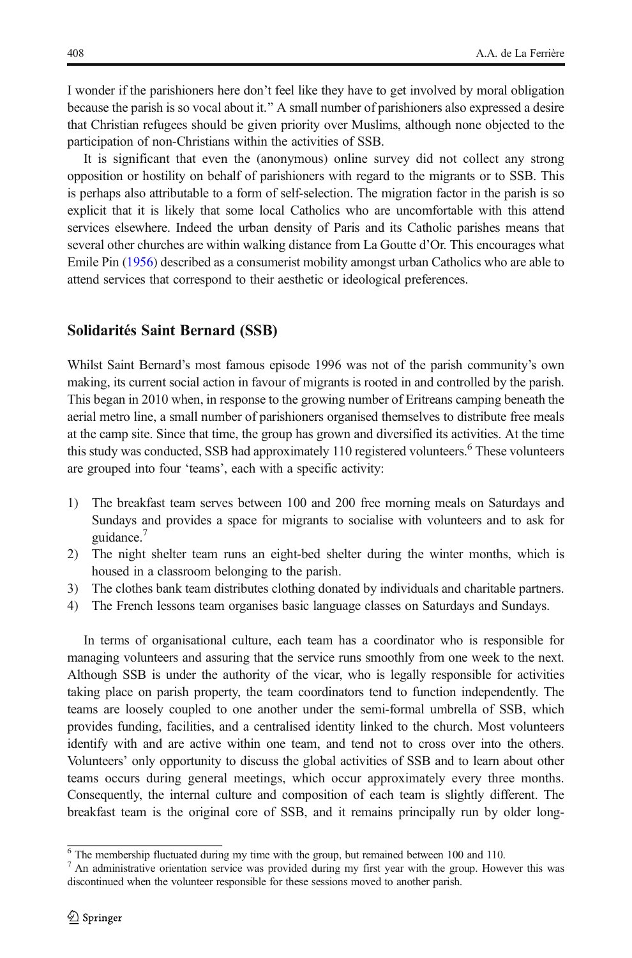I wonder if the parishioners here don't feel like they have to get involved by moral obligation because the parish is so vocal about it.^ A small number of parishioners also expressed a desire that Christian refugees should be given priority over Muslims, although none objected to the participation of non-Christians within the activities of SSB.

It is significant that even the (anonymous) online survey did not collect any strong opposition or hostility on behalf of parishioners with regard to the migrants or to SSB. This is perhaps also attributable to a form of self-selection. The migration factor in the parish is so explicit that it is likely that some local Catholics who are uncomfortable with this attend services elsewhere. Indeed the urban density of Paris and its Catholic parishes means that several other churches are within walking distance from La Goutte d'Or. This encourages what Emile Pin [\(1956\)](#page-20-0) described as a consumerist mobility amongst urban Catholics who are able to attend services that correspond to their aesthetic or ideological preferences.

# Solidarités Saint Bernard (SSB)

Whilst Saint Bernard's most famous episode 1996 was not of the parish community's own making, its current social action in favour of migrants is rooted in and controlled by the parish. This began in 2010 when, in response to the growing number of Eritreans camping beneath the aerial metro line, a small number of parishioners organised themselves to distribute free meals at the camp site. Since that time, the group has grown and diversified its activities. At the time this study was conducted, SSB had approximately 110 registered volunteers.<sup>6</sup> These volunteers are grouped into four 'teams', each with a specific activity:

- 1) The breakfast team serves between 100 and 200 free morning meals on Saturdays and Sundays and provides a space for migrants to socialise with volunteers and to ask for guidance.<sup>7</sup>
- 2) The night shelter team runs an eight-bed shelter during the winter months, which is housed in a classroom belonging to the parish.
- 3) The clothes bank team distributes clothing donated by individuals and charitable partners.
- 4) The French lessons team organises basic language classes on Saturdays and Sundays.

In terms of organisational culture, each team has a coordinator who is responsible for managing volunteers and assuring that the service runs smoothly from one week to the next. Although SSB is under the authority of the vicar, who is legally responsible for activities taking place on parish property, the team coordinators tend to function independently. The teams are loosely coupled to one another under the semi-formal umbrella of SSB, which provides funding, facilities, and a centralised identity linked to the church. Most volunteers identify with and are active within one team, and tend not to cross over into the others. Volunteers' only opportunity to discuss the global activities of SSB and to learn about other teams occurs during general meetings, which occur approximately every three months. Consequently, the internal culture and composition of each team is slightly different. The breakfast team is the original core of SSB, and it remains principally run by older long-

 $\overline{6}$  The membership fluctuated during my time with the group, but remained between 100 and 110.

<sup>&</sup>lt;sup>7</sup> An administrative orientation service was provided during my first year with the group. However this was discontinued when the volunteer responsible for these sessions moved to another parish.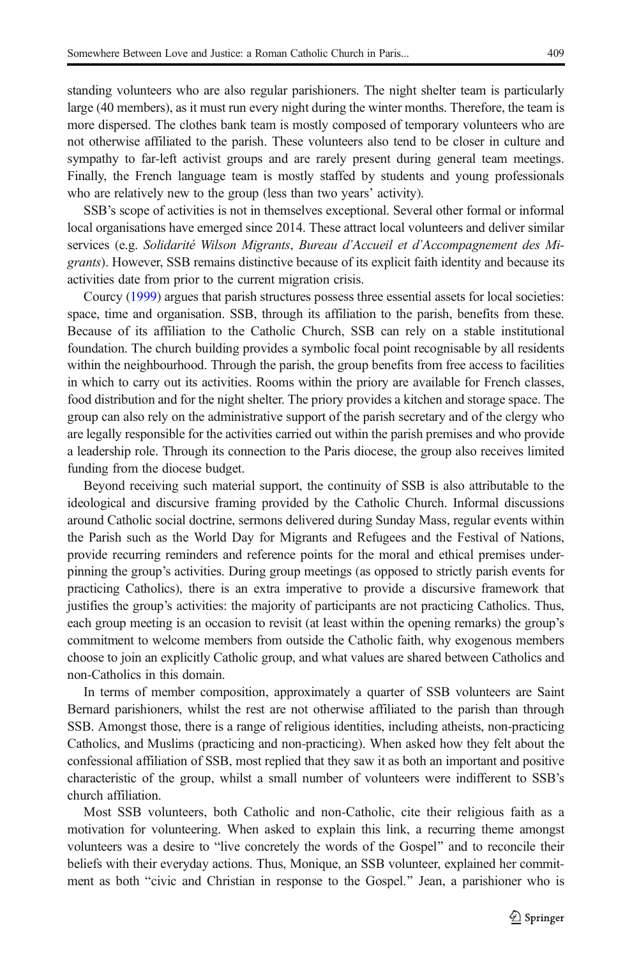standing volunteers who are also regular parishioners. The night shelter team is particularly large (40 members), as it must run every night during the winter months. Therefore, the team is more dispersed. The clothes bank team is mostly composed of temporary volunteers who are not otherwise affiliated to the parish. These volunteers also tend to be closer in culture and sympathy to far-left activist groups and are rarely present during general team meetings. Finally, the French language team is mostly staffed by students and young professionals who are relatively new to the group (less than two years' activity).

SSB's scope of activities is not in themselves exceptional. Several other formal or informal local organisations have emerged since 2014. These attract local volunteers and deliver similar services (e.g. Solidarité Wilson Migrants, Bureau d'Accueil et d'Accompagnement des Migrants). However, SSB remains distinctive because of its explicit faith identity and because its activities date from prior to the current migration crisis.

Courcy ([1999](#page-19-0)) argues that parish structures possess three essential assets for local societies: space, time and organisation. SSB, through its affiliation to the parish, benefits from these. Because of its affiliation to the Catholic Church, SSB can rely on a stable institutional foundation. The church building provides a symbolic focal point recognisable by all residents within the neighbourhood. Through the parish, the group benefits from free access to facilities in which to carry out its activities. Rooms within the priory are available for French classes, food distribution and for the night shelter. The priory provides a kitchen and storage space. The group can also rely on the administrative support of the parish secretary and of the clergy who are legally responsible for the activities carried out within the parish premises and who provide a leadership role. Through its connection to the Paris diocese, the group also receives limited funding from the diocese budget.

Beyond receiving such material support, the continuity of SSB is also attributable to the ideological and discursive framing provided by the Catholic Church. Informal discussions around Catholic social doctrine, sermons delivered during Sunday Mass, regular events within the Parish such as the World Day for Migrants and Refugees and the Festival of Nations, provide recurring reminders and reference points for the moral and ethical premises underpinning the group's activities. During group meetings (as opposed to strictly parish events for practicing Catholics), there is an extra imperative to provide a discursive framework that justifies the group's activities: the majority of participants are not practicing Catholics. Thus, each group meeting is an occasion to revisit (at least within the opening remarks) the group's commitment to welcome members from outside the Catholic faith, why exogenous members choose to join an explicitly Catholic group, and what values are shared between Catholics and non-Catholics in this domain.

In terms of member composition, approximately a quarter of SSB volunteers are Saint Bernard parishioners, whilst the rest are not otherwise affiliated to the parish than through SSB. Amongst those, there is a range of religious identities, including atheists, non-practicing Catholics, and Muslims (practicing and non-practicing). When asked how they felt about the confessional affiliation of SSB, most replied that they saw it as both an important and positive characteristic of the group, whilst a small number of volunteers were indifferent to SSB's church affiliation.

Most SSB volunteers, both Catholic and non-Catholic, cite their religious faith as a motivation for volunteering. When asked to explain this link, a recurring theme amongst volunteers was a desire to "live concretely the words of the Gospel" and to reconcile their beliefs with their everyday actions. Thus, Monique, an SSB volunteer, explained her commitment as both "civic and Christian in response to the Gospel." Jean, a parishioner who is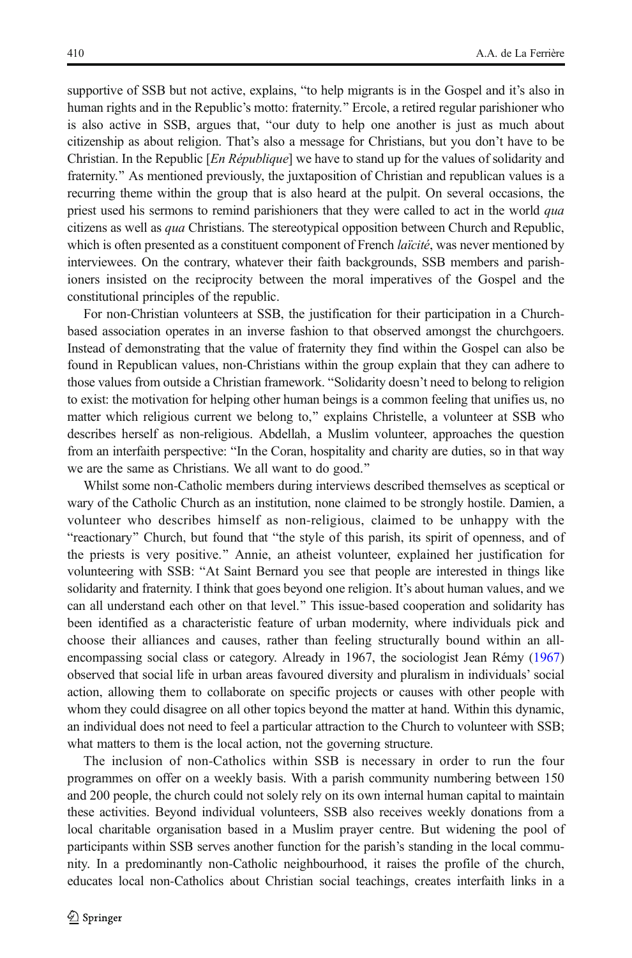supportive of SSB but not active, explains, "to help migrants is in the Gospel and it's also in human rights and in the Republic's motto: fraternity." Ercole, a retired regular parishioner who is also active in SSB, argues that, "our duty to help one another is just as much about citizenship as about religion. That's also a message for Christians, but you don't have to be Christian. In the Republic  $[En \t Republique]$  we have to stand up for the values of solidarity and fraternity." As mentioned previously, the juxtaposition of Christian and republican values is a recurring theme within the group that is also heard at the pulpit. On several occasions, the priest used his sermons to remind parishioners that they were called to act in the world qua citizens as well as *qua* Christians. The stereotypical opposition between Church and Republic, which is often presented as a constituent component of French *laïcité*, was never mentioned by interviewees. On the contrary, whatever their faith backgrounds, SSB members and parishioners insisted on the reciprocity between the moral imperatives of the Gospel and the constitutional principles of the republic.

For non-Christian volunteers at SSB, the justification for their participation in a Churchbased association operates in an inverse fashion to that observed amongst the churchgoers. Instead of demonstrating that the value of fraternity they find within the Gospel can also be found in Republican values, non-Christians within the group explain that they can adhere to those values from outside a Christian framework. "Solidarity doesn't need to belong to religion to exist: the motivation for helping other human beings is a common feeling that unifies us, no matter which religious current we belong to," explains Christelle, a volunteer at SSB who describes herself as non-religious. Abdellah, a Muslim volunteer, approaches the question from an interfaith perspective: "In the Coran, hospitality and charity are duties, so in that way we are the same as Christians. We all want to do good.<sup>"</sup>

Whilst some non-Catholic members during interviews described themselves as sceptical or wary of the Catholic Church as an institution, none claimed to be strongly hostile. Damien, a volunteer who describes himself as non-religious, claimed to be unhappy with the "reactionary" Church, but found that "the style of this parish, its spirit of openness, and of the priests is very positive.^ Annie, an atheist volunteer, explained her justification for volunteering with SSB: "At Saint Bernard you see that people are interested in things like solidarity and fraternity. I think that goes beyond one religion. It's about human values, and we can all understand each other on that level." This issue-based cooperation and solidarity has been identified as a characteristic feature of urban modernity, where individuals pick and choose their alliances and causes, rather than feeling structurally bound within an allencompassing social class or category. Already in 1967, the sociologist Jean Rémy [\(1967\)](#page-20-0) observed that social life in urban areas favoured diversity and pluralism in individuals' social action, allowing them to collaborate on specific projects or causes with other people with whom they could disagree on all other topics beyond the matter at hand. Within this dynamic, an individual does not need to feel a particular attraction to the Church to volunteer with SSB; what matters to them is the local action, not the governing structure.

The inclusion of non-Catholics within SSB is necessary in order to run the four programmes on offer on a weekly basis. With a parish community numbering between 150 and 200 people, the church could not solely rely on its own internal human capital to maintain these activities. Beyond individual volunteers, SSB also receives weekly donations from a local charitable organisation based in a Muslim prayer centre. But widening the pool of participants within SSB serves another function for the parish's standing in the local community. In a predominantly non-Catholic neighbourhood, it raises the profile of the church, educates local non-Catholics about Christian social teachings, creates interfaith links in a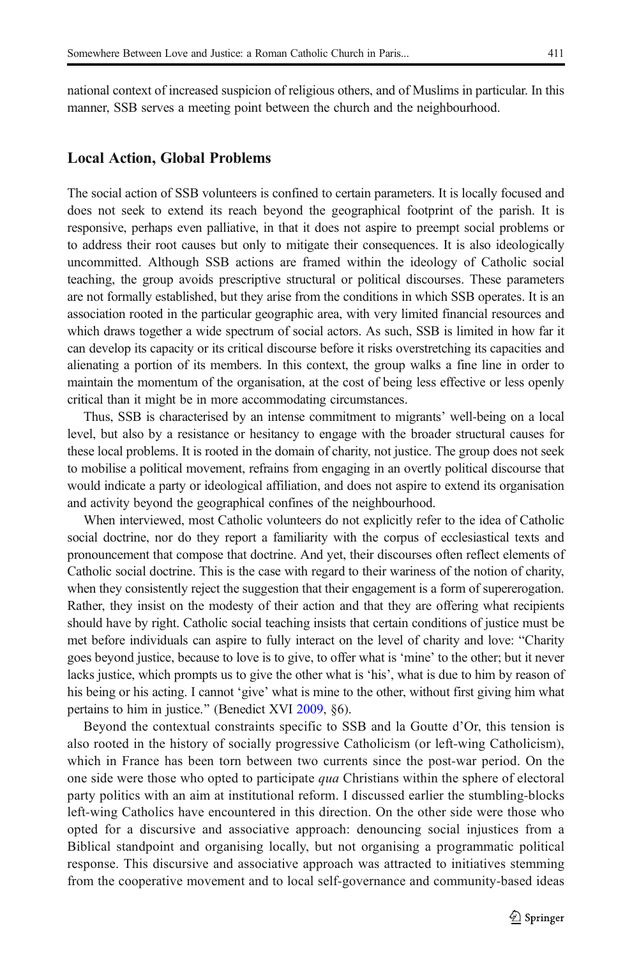national context of increased suspicion of religious others, and of Muslims in particular. In this manner, SSB serves a meeting point between the church and the neighbourhood.

#### Local Action, Global Problems

The social action of SSB volunteers is confined to certain parameters. It is locally focused and does not seek to extend its reach beyond the geographical footprint of the parish. It is responsive, perhaps even palliative, in that it does not aspire to preempt social problems or to address their root causes but only to mitigate their consequences. It is also ideologically uncommitted. Although SSB actions are framed within the ideology of Catholic social teaching, the group avoids prescriptive structural or political discourses. These parameters are not formally established, but they arise from the conditions in which SSB operates. It is an association rooted in the particular geographic area, with very limited financial resources and which draws together a wide spectrum of social actors. As such, SSB is limited in how far it can develop its capacity or its critical discourse before it risks overstretching its capacities and alienating a portion of its members. In this context, the group walks a fine line in order to maintain the momentum of the organisation, at the cost of being less effective or less openly critical than it might be in more accommodating circumstances.

Thus, SSB is characterised by an intense commitment to migrants' well-being on a local level, but also by a resistance or hesitancy to engage with the broader structural causes for these local problems. It is rooted in the domain of charity, not justice. The group does not seek to mobilise a political movement, refrains from engaging in an overtly political discourse that would indicate a party or ideological affiliation, and does not aspire to extend its organisation and activity beyond the geographical confines of the neighbourhood.

When interviewed, most Catholic volunteers do not explicitly refer to the idea of Catholic social doctrine, nor do they report a familiarity with the corpus of ecclesiastical texts and pronouncement that compose that doctrine. And yet, their discourses often reflect elements of Catholic social doctrine. This is the case with regard to their wariness of the notion of charity, when they consistently reject the suggestion that their engagement is a form of supererogation. Rather, they insist on the modesty of their action and that they are offering what recipients should have by right. Catholic social teaching insists that certain conditions of justice must be met before individuals can aspire to fully interact on the level of charity and love: "Charity goes beyond justice, because to love is to give, to offer what is 'mine' to the other; but it never lacks justice, which prompts us to give the other what is 'his', what is due to him by reason of his being or his acting. I cannot 'give' what is mine to the other, without first giving him what pertains to him in justice." (Benedict XVI  $2009$ , §6).

Beyond the contextual constraints specific to SSB and la Goutte d'Or, this tension is also rooted in the history of socially progressive Catholicism (or left-wing Catholicism), which in France has been torn between two currents since the post-war period. On the one side were those who opted to participate *qua* Christians within the sphere of electoral party politics with an aim at institutional reform. I discussed earlier the stumbling-blocks left-wing Catholics have encountered in this direction. On the other side were those who opted for a discursive and associative approach: denouncing social injustices from a Biblical standpoint and organising locally, but not organising a programmatic political response. This discursive and associative approach was attracted to initiatives stemming from the cooperative movement and to local self-governance and community-based ideas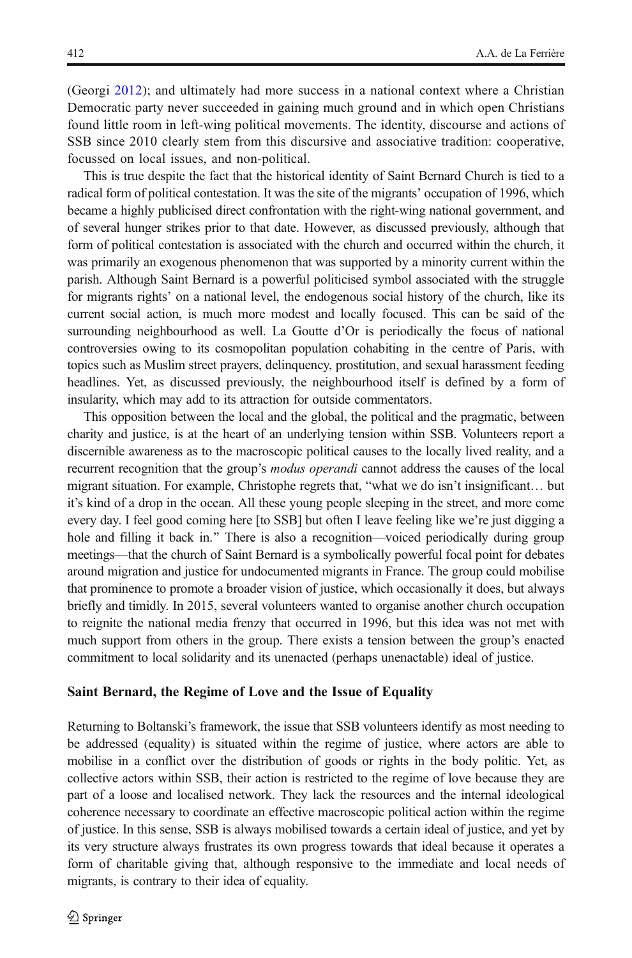(Georgi [2012](#page-19-0)); and ultimately had more success in a national context where a Christian Democratic party never succeeded in gaining much ground and in which open Christians found little room in left-wing political movements. The identity, discourse and actions of SSB since 2010 clearly stem from this discursive and associative tradition: cooperative, focussed on local issues, and non-political.

This is true despite the fact that the historical identity of Saint Bernard Church is tied to a radical form of political contestation. It was the site of the migrants' occupation of 1996, which became a highly publicised direct confrontation with the right-wing national government, and of several hunger strikes prior to that date. However, as discussed previously, although that form of political contestation is associated with the church and occurred within the church, it was primarily an exogenous phenomenon that was supported by a minority current within the parish. Although Saint Bernard is a powerful politicised symbol associated with the struggle for migrants rights' on a national level, the endogenous social history of the church, like its current social action, is much more modest and locally focused. This can be said of the surrounding neighbourhood as well. La Goutte d'Or is periodically the focus of national controversies owing to its cosmopolitan population cohabiting in the centre of Paris, with topics such as Muslim street prayers, delinquency, prostitution, and sexual harassment feeding headlines. Yet, as discussed previously, the neighbourhood itself is defined by a form of insularity, which may add to its attraction for outside commentators.

This opposition between the local and the global, the political and the pragmatic, between charity and justice, is at the heart of an underlying tension within SSB. Volunteers report a discernible awareness as to the macroscopic political causes to the locally lived reality, and a recurrent recognition that the group's *modus operandi* cannot address the causes of the local migrant situation. For example, Christophe regrets that, "what we do isn't insignificant... but it's kind of a drop in the ocean. All these young people sleeping in the street, and more come every day. I feel good coming here [to SSB] but often I leave feeling like we're just digging a hole and filling it back in.<sup>"</sup> There is also a recognition—voiced periodically during group meetings—that the church of Saint Bernard is a symbolically powerful focal point for debates around migration and justice for undocumented migrants in France. The group could mobilise that prominence to promote a broader vision of justice, which occasionally it does, but always briefly and timidly. In 2015, several volunteers wanted to organise another church occupation to reignite the national media frenzy that occurred in 1996, but this idea was not met with much support from others in the group. There exists a tension between the group's enacted commitment to local solidarity and its unenacted (perhaps unenactable) ideal of justice.

#### Saint Bernard, the Regime of Love and the Issue of Equality

Returning to Boltanski's framework, the issue that SSB volunteers identify as most needing to be addressed (equality) is situated within the regime of justice, where actors are able to mobilise in a conflict over the distribution of goods or rights in the body politic. Yet, as collective actors within SSB, their action is restricted to the regime of love because they are part of a loose and localised network. They lack the resources and the internal ideological coherence necessary to coordinate an effective macroscopic political action within the regime of justice. In this sense, SSB is always mobilised towards a certain ideal of justice, and yet by its very structure always frustrates its own progress towards that ideal because it operates a form of charitable giving that, although responsive to the immediate and local needs of migrants, is contrary to their idea of equality.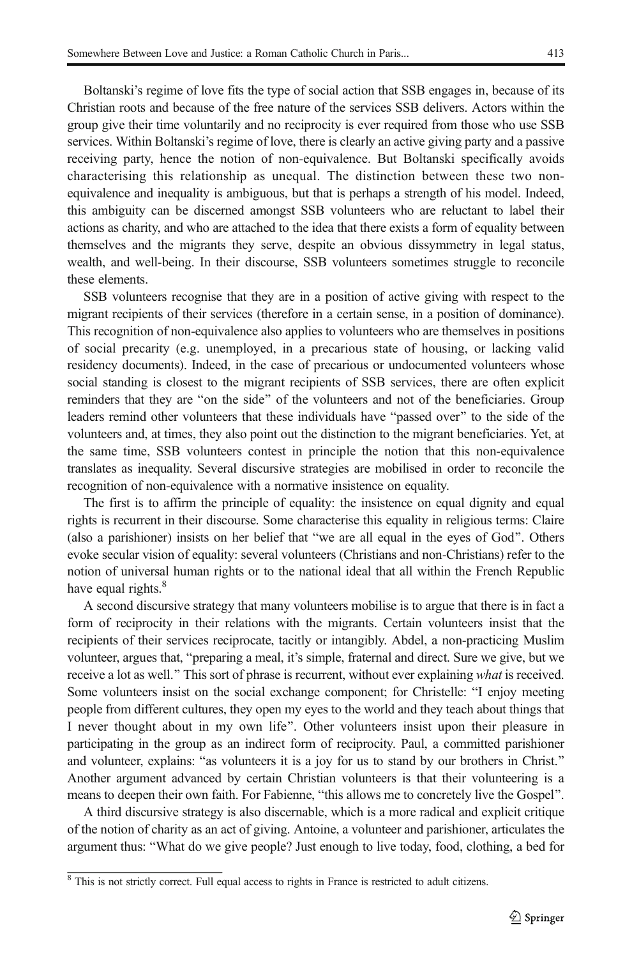Boltanski's regime of love fits the type of social action that SSB engages in, because of its Christian roots and because of the free nature of the services SSB delivers. Actors within the group give their time voluntarily and no reciprocity is ever required from those who use SSB services. Within Boltanski's regime of love, there is clearly an active giving party and a passive receiving party, hence the notion of non-equivalence. But Boltanski specifically avoids characterising this relationship as unequal. The distinction between these two nonequivalence and inequality is ambiguous, but that is perhaps a strength of his model. Indeed, this ambiguity can be discerned amongst SSB volunteers who are reluctant to label their actions as charity, and who are attached to the idea that there exists a form of equality between themselves and the migrants they serve, despite an obvious dissymmetry in legal status, wealth, and well-being. In their discourse, SSB volunteers sometimes struggle to reconcile these elements.

SSB volunteers recognise that they are in a position of active giving with respect to the migrant recipients of their services (therefore in a certain sense, in a position of dominance). This recognition of non-equivalence also applies to volunteers who are themselves in positions of social precarity (e.g. unemployed, in a precarious state of housing, or lacking valid residency documents). Indeed, in the case of precarious or undocumented volunteers whose social standing is closest to the migrant recipients of SSB services, there are often explicit reminders that they are "on the side" of the volunteers and not of the beneficiaries. Group leaders remind other volunteers that these individuals have "passed over" to the side of the volunteers and, at times, they also point out the distinction to the migrant beneficiaries. Yet, at the same time, SSB volunteers contest in principle the notion that this non-equivalence translates as inequality. Several discursive strategies are mobilised in order to reconcile the recognition of non-equivalence with a normative insistence on equality.

The first is to affirm the principle of equality: the insistence on equal dignity and equal rights is recurrent in their discourse. Some characterise this equality in religious terms: Claire (also a parishioner) insists on her belief that "we are all equal in the eyes of God". Others evoke secular vision of equality: several volunteers (Christians and non-Christians) refer to the notion of universal human rights or to the national ideal that all within the French Republic have equal rights.<sup>8</sup>

A second discursive strategy that many volunteers mobilise is to argue that there is in fact a form of reciprocity in their relations with the migrants. Certain volunteers insist that the recipients of their services reciprocate, tacitly or intangibly. Abdel, a non-practicing Muslim volunteer, argues that, "preparing a meal, it's simple, fraternal and direct. Sure we give, but we receive a lot as well." This sort of phrase is recurrent, without ever explaining what is received. Some volunteers insist on the social exchange component; for Christelle: "I enjoy meeting people from different cultures, they open my eyes to the world and they teach about things that I never thought about in my own life". Other volunteers insist upon their pleasure in participating in the group as an indirect form of reciprocity. Paul, a committed parishioner and volunteer, explains: "as volunteers it is a joy for us to stand by our brothers in Christ." Another argument advanced by certain Christian volunteers is that their volunteering is a means to deepen their own faith. For Fabienne, "this allows me to concretely live the Gospel".

A third discursive strategy is also discernable, which is a more radical and explicit critique of the notion of charity as an act of giving. Antoine, a volunteer and parishioner, articulates the argument thus: "What do we give people? Just enough to live today, food, clothing, a bed for

<sup>&</sup>lt;sup>8</sup> This is not strictly correct. Full equal access to rights in France is restricted to adult citizens.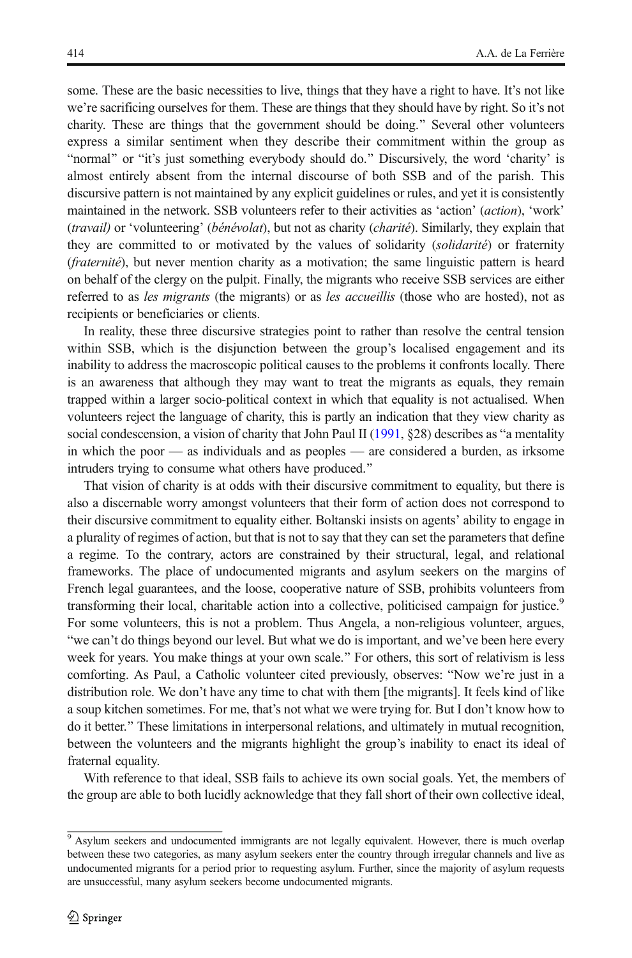some. These are the basic necessities to live, things that they have a right to have. It's not like we're sacrificing ourselves for them. These are things that they should have by right. So it's not charity. These are things that the government should be doing." Several other volunteers express a similar sentiment when they describe their commitment within the group as "normal" or "it's just something everybody should do." Discursively, the word 'charity' is almost entirely absent from the internal discourse of both SSB and of the parish. This discursive pattern is not maintained by any explicit guidelines or rules, and yet it is consistently maintained in the network. SSB volunteers refer to their activities as 'action' (action), 'work' (travail) or 'volunteering' (bénévolat), but not as charity (charité). Similarly, they explain that they are committed to or motivated by the values of solidarity *(solidarité)* or fraternity (fraternité), but never mention charity as a motivation; the same linguistic pattern is heard on behalf of the clergy on the pulpit. Finally, the migrants who receive SSB services are either referred to as *les migrants* (the migrants) or as *les accueillis* (those who are hosted), not as recipients or beneficiaries or clients.

In reality, these three discursive strategies point to rather than resolve the central tension within SSB, which is the disjunction between the group's localised engagement and its inability to address the macroscopic political causes to the problems it confronts locally. There is an awareness that although they may want to treat the migrants as equals, they remain trapped within a larger socio-political context in which that equality is not actualised. When volunteers reject the language of charity, this is partly an indication that they view charity as social condescension, a vision of charity that John Paul II [\(1991,](#page-20-0)  $\S 28$ ) describes as "a mentality in which the poor — as individuals and as peoples — are considered a burden, as irksome intruders trying to consume what others have produced.<sup>"</sup>

That vision of charity is at odds with their discursive commitment to equality, but there is also a discernable worry amongst volunteers that their form of action does not correspond to their discursive commitment to equality either. Boltanski insists on agents' ability to engage in a plurality of regimes of action, but that is not to say that they can set the parameters that define a regime. To the contrary, actors are constrained by their structural, legal, and relational frameworks. The place of undocumented migrants and asylum seekers on the margins of French legal guarantees, and the loose, cooperative nature of SSB, prohibits volunteers from transforming their local, charitable action into a collective, politicised campaign for justice.<sup>9</sup> For some volunteers, this is not a problem. Thus Angela, a non-religious volunteer, argues, "we can't do things beyond our level. But what we do is important, and we've been here every week for years. You make things at your own scale." For others, this sort of relativism is less comforting. As Paul, a Catholic volunteer cited previously, observes: "Now we're just in a distribution role. We don't have any time to chat with them [the migrants]. It feels kind of like a soup kitchen sometimes. For me, that's not what we were trying for. But I don't know how to do it better.^ These limitations in interpersonal relations, and ultimately in mutual recognition, between the volunteers and the migrants highlight the group's inability to enact its ideal of fraternal equality.

With reference to that ideal, SSB fails to achieve its own social goals. Yet, the members of the group are able to both lucidly acknowledge that they fall short of their own collective ideal,

<sup>&</sup>lt;sup>9</sup> Asylum seekers and undocumented immigrants are not legally equivalent. However, there is much overlap between these two categories, as many asylum seekers enter the country through irregular channels and live as undocumented migrants for a period prior to requesting asylum. Further, since the majority of asylum requests are unsuccessful, many asylum seekers become undocumented migrants.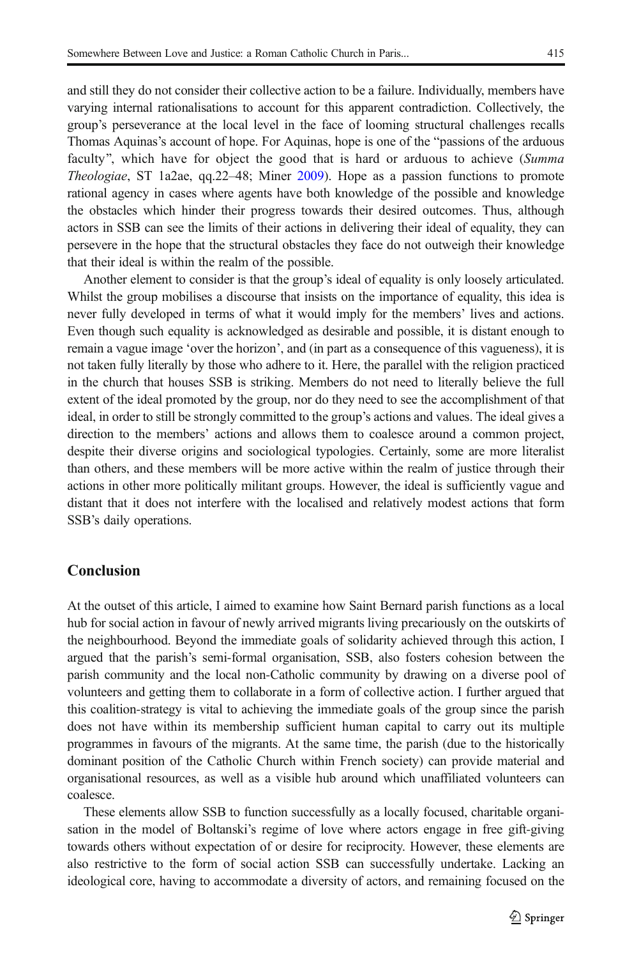group's perseverance at the local level in the face of looming structural challenges recalls Thomas Aquinas's account of hope. For Aquinas, hope is one of the "passions of the arduous" faculty", which have for object the good that is hard or arduous to achieve (Summa Theologiae, ST 1a2ae, qq.22–48; Miner [2009](#page-20-0)). Hope as a passion functions to promote rational agency in cases where agents have both knowledge of the possible and knowledge the obstacles which hinder their progress towards their desired outcomes. Thus, although actors in SSB can see the limits of their actions in delivering their ideal of equality, they can persevere in the hope that the structural obstacles they face do not outweigh their knowledge that their ideal is within the realm of the possible.

Another element to consider is that the group's ideal of equality is only loosely articulated. Whilst the group mobilises a discourse that insists on the importance of equality, this idea is never fully developed in terms of what it would imply for the members' lives and actions. Even though such equality is acknowledged as desirable and possible, it is distant enough to remain a vague image 'over the horizon', and (in part as a consequence of this vagueness), it is not taken fully literally by those who adhere to it. Here, the parallel with the religion practiced in the church that houses SSB is striking. Members do not need to literally believe the full extent of the ideal promoted by the group, nor do they need to see the accomplishment of that ideal, in order to still be strongly committed to the group's actions and values. The ideal gives a direction to the members' actions and allows them to coalesce around a common project, despite their diverse origins and sociological typologies. Certainly, some are more literalist than others, and these members will be more active within the realm of justice through their actions in other more politically militant groups. However, the ideal is sufficiently vague and distant that it does not interfere with the localised and relatively modest actions that form SSB's daily operations.

## Conclusion

At the outset of this article, I aimed to examine how Saint Bernard parish functions as a local hub for social action in favour of newly arrived migrants living precariously on the outskirts of the neighbourhood. Beyond the immediate goals of solidarity achieved through this action, I argued that the parish's semi-formal organisation, SSB, also fosters cohesion between the parish community and the local non-Catholic community by drawing on a diverse pool of volunteers and getting them to collaborate in a form of collective action. I further argued that this coalition-strategy is vital to achieving the immediate goals of the group since the parish does not have within its membership sufficient human capital to carry out its multiple programmes in favours of the migrants. At the same time, the parish (due to the historically dominant position of the Catholic Church within French society) can provide material and organisational resources, as well as a visible hub around which unaffiliated volunteers can coalesce.

These elements allow SSB to function successfully as a locally focused, charitable organisation in the model of Boltanski's regime of love where actors engage in free gift-giving towards others without expectation of or desire for reciprocity. However, these elements are also restrictive to the form of social action SSB can successfully undertake. Lacking an ideological core, having to accommodate a diversity of actors, and remaining focused on the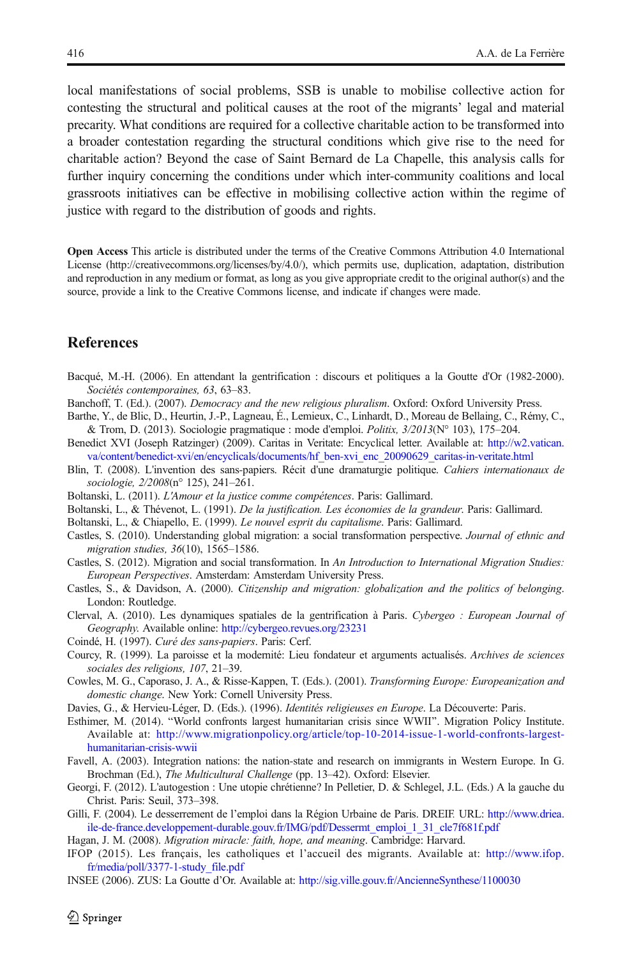<span id="page-19-0"></span>local manifestations of social problems, SSB is unable to mobilise collective action for contesting the structural and political causes at the root of the migrants' legal and material precarity. What conditions are required for a collective charitable action to be transformed into a broader contestation regarding the structural conditions which give rise to the need for charitable action? Beyond the case of Saint Bernard de La Chapelle, this analysis calls for further inquiry concerning the conditions under which inter-community coalitions and local grassroots initiatives can be effective in mobilising collective action within the regime of justice with regard to the distribution of goods and rights.

Open Access This article is distributed under the terms of the Creative Commons Attribution 4.0 International License (http://creativecommons.org/licenses/by/4.0/), which permits use, duplication, adaptation, distribution and reproduction in any medium or format, as long as you give appropriate credit to the original author(s) and the source, provide a link to the Creative Commons license, and indicate if changes were made.

# **References**

- Bacqué, M.-H. (2006). En attendant la gentrification : discours et politiques a la Goutte d'Or (1982-2000). Sociétés contemporaines, 63, 63–83.
- Banchoff, T. (Ed.). (2007). Democracy and the new religious pluralism. Oxford: Oxford University Press.
- Barthe, Y., de Blic, D., Heurtin, J.-P., Lagneau, É., Lemieux, C., Linhardt, D., Moreau de Bellaing, C., Rémy, C., & Trom, D. (2013). Sociologie pragmatique : mode d'emploi. *Politix,*  $3/2013$ (N° 103), 175–204.
- Benedict XVI (Joseph Ratzinger) (2009). Caritas in Veritate: Encyclical letter. Available at: [http://w2.vatican.](http://w2.vatican.va/content/benedict-xvi/en/encyclicals/documents/hf_ben-xvi_enc_20090629_caritas-in-veritate.html) [va/content/benedict-xvi/en/encyclicals/documents/hf\\_ben-xvi\\_enc\\_20090629\\_caritas-in-veritate.html](http://w2.vatican.va/content/benedict-xvi/en/encyclicals/documents/hf_ben-xvi_enc_20090629_caritas-in-veritate.html)
- Blin, T. (2008). L'invention des sans-papiers. Récit d'une dramaturgie politique. Cahiers internationaux de sociologie, 2/2008(n° 125), 241–261.
- Boltanski, L. (2011). L'Amour et la justice comme compétences. Paris: Gallimard.
- Boltanski, L., & Thévenot, L. (1991). De la justification. Les économies de la grandeur. Paris: Gallimard.
- Boltanski, L., & Chiapello, E. (1999). Le nouvel esprit du capitalisme. Paris: Gallimard.
- Castles, S. (2010). Understanding global migration: a social transformation perspective. Journal of ethnic and migration studies, 36(10), 1565–1586.
- Castles, S. (2012). Migration and social transformation. In An Introduction to International Migration Studies: European Perspectives. Amsterdam: Amsterdam University Press.
- Castles, S., & Davidson, A. (2000). Citizenship and migration: globalization and the politics of belonging. London: Routledge.
- Clerval, A. (2010). Les dynamiques spatiales de la gentrification à Paris. Cybergeo : European Journal of Geography. Available online: <http://cybergeo.revues.org/23231>
- Coindé, H. (1997). Curé des sans-papiers. Paris: Cerf.
- Courcy, R. (1999). La paroisse et la modernité: Lieu fondateur et arguments actualisés. Archives de sciences sociales des religions, 107, 21–39.
- Cowles, M. G., Caporaso, J. A., & Risse-Kappen, T. (Eds.). (2001). Transforming Europe: Europeanization and domestic change. New York: Cornell University Press.
- Davies, G., & Hervieu-Léger, D. (Eds.). (1996). Identités religieuses en Europe. La Découverte: Paris.
- Esthimer, M. (2014). "World confronts largest humanitarian crisis since WWII". Migration Policy Institute. Available at: [http://www.migrationpolicy.org/article/top-10-2014-issue-1-world-confronts-largest](http://www.migrationpolicy.org/article/top-10-2014-issue-1-world-confronts-largest-humanitarian-crisis-wwii)[humanitarian-crisis-wwii](http://www.migrationpolicy.org/article/top-10-2014-issue-1-world-confronts-largest-humanitarian-crisis-wwii)
- Favell, A. (2003). Integration nations: the nation-state and research on immigrants in Western Europe. In G. Brochman (Ed.), The Multicultural Challenge (pp. 13–42). Oxford: Elsevier.
- Georgi, F. (2012). L'autogestion : Une utopie chrétienne? In Pelletier, D. & Schlegel, J.L. (Eds.) A la gauche du Christ. Paris: Seuil, 373–398.
- Gilli, F. (2004). Le desserrement de l'emploi dans la Région Urbaine de Paris. DREIF. URL: [http://www.driea.](http://www.driea.ile-de-france.developpement-durable.gouv.fr/IMG/pdf/Dessermt_emploi_1_31_cle7f681f.pdf) [ile-de-france.developpement-durable.gouv.fr/IMG/pdf/Dessermt\\_emploi\\_1\\_31\\_cle7f681f.pdf](http://www.driea.ile-de-france.developpement-durable.gouv.fr/IMG/pdf/Dessermt_emploi_1_31_cle7f681f.pdf)
- Hagan, J. M. (2008). Migration miracle: faith, hope, and meaning. Cambridge: Harvard.
- IFOP (2015). Les français, les catholiques et l'accueil des migrants. Available at: [http://www.ifop.](http://www.ifop.fr/media/poll/3377-1-study_file.pdf) [fr/media/poll/3377-1-study\\_file.pdf](http://www.ifop.fr/media/poll/3377-1-study_file.pdf)
- INSEE (2006). ZUS: La Goutte d'Or. Available at: <http://sig.ville.gouv.fr/AncienneSynthese/1100030>